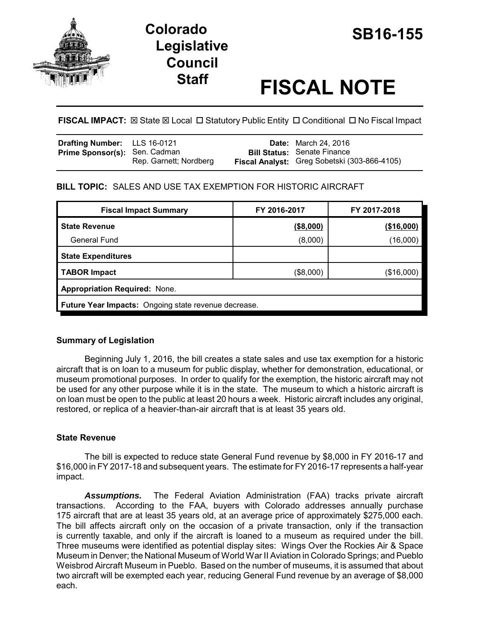

# **SB16-155 Colorado Legislative Council**

# **Staff FISCAL NOTE**

**FISCAL IMPACT:**  $\boxtimes$  **State**  $\boxtimes$  **Local □ Statutory Public Entity □ Conditional □ No Fiscal Impact** 

| Drafting Number: LLS 16-0121  |                        | <b>Date:</b> March 24, 2016                                                        |
|-------------------------------|------------------------|------------------------------------------------------------------------------------|
| Prime Sponsor(s): Sen. Cadman | Rep. Garnett; Nordberg | <b>Bill Status: Senate Finance</b><br>Fiscal Analyst: Greg Sobetski (303-866-4105) |
|                               |                        |                                                                                    |

# **BILL TOPIC:** SALES AND USE TAX EXEMPTION FOR HISTORIC AIRCRAFT

| <b>Fiscal Impact Summary</b>                                | FY 2016-2017 | FY 2017-2018 |  |  |
|-------------------------------------------------------------|--------------|--------------|--|--|
| <b>State Revenue</b>                                        | ( \$8,000)   | (\$16,000)   |  |  |
| <b>General Fund</b>                                         | (8,000)      | (16,000)     |  |  |
| <b>State Expenditures</b>                                   |              |              |  |  |
| <b>TABOR Impact</b>                                         | (\$8,000)    | (\$16,000)   |  |  |
| Appropriation Required: None.                               |              |              |  |  |
| <b>Future Year Impacts:</b> Ongoing state revenue decrease. |              |              |  |  |

# **Summary of Legislation**

Beginning July 1, 2016, the bill creates a state sales and use tax exemption for a historic aircraft that is on loan to a museum for public display, whether for demonstration, educational, or museum promotional purposes. In order to qualify for the exemption, the historic aircraft may not be used for any other purpose while it is in the state. The museum to which a historic aircraft is on loan must be open to the public at least 20 hours a week. Historic aircraft includes any original, restored, or replica of a heavier-than-air aircraft that is at least 35 years old.

# **State Revenue**

The bill is expected to reduce state General Fund revenue by \$8,000 in FY 2016-17 and \$16,000 in FY 2017-18 and subsequent years. The estimate for FY 2016-17 represents a half-year impact.

*Assumptions.* The Federal Aviation Administration (FAA) tracks private aircraft transactions. According to the FAA, buyers with Colorado addresses annually purchase 175 aircraft that are at least 35 years old, at an average price of approximately \$275,000 each. The bill affects aircraft only on the occasion of a private transaction, only if the transaction is currently taxable, and only if the aircraft is loaned to a museum as required under the bill. Three museums were identified as potential display sites: Wings Over the Rockies Air & Space Museum in Denver; the National Museum of World War II Aviation in Colorado Springs; and Pueblo Weisbrod Aircraft Museum in Pueblo. Based on the number of museums, it is assumed that about two aircraft will be exempted each year, reducing General Fund revenue by an average of \$8,000 each.